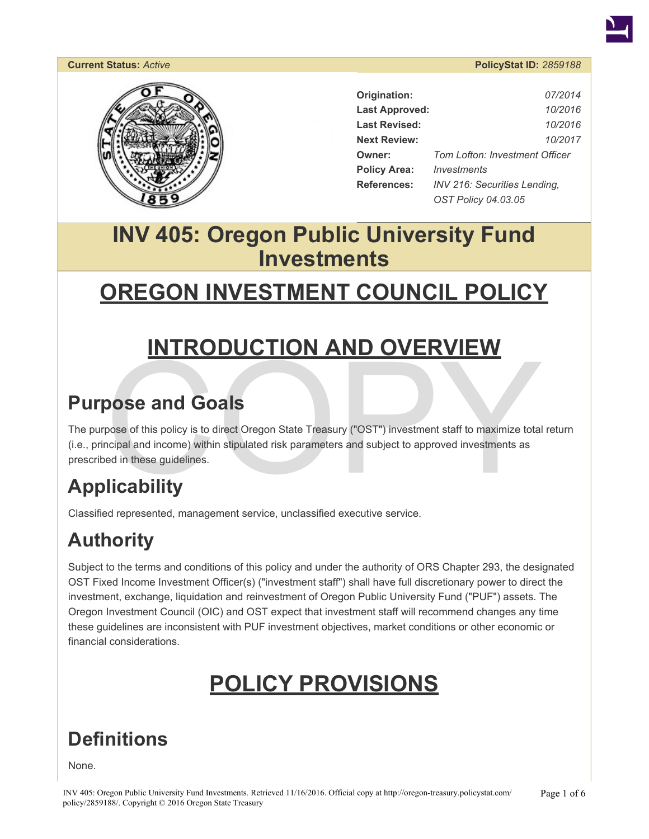#### **Current Status:** *Active* **PolicyStat ID:** *2859188*



| Origination:          | 07/2014                               |
|-----------------------|---------------------------------------|
| <b>Last Approved:</b> | 10/2016                               |
| <b>Last Revised:</b>  | 10/2016                               |
| <b>Next Review:</b>   | 10/2017                               |
| Owner:                | <b>Tom Lofton: Investment Officer</b> |
| <b>Policy Area:</b>   | Investments                           |
| References:           | <b>INV 216: Securities Lending.</b>   |
|                       | OST Policy 04.03.05                   |

## **INV 405: Oregon Public University Fund Investments**

## **OREGON INVESTMENT COUNCIL POLICY**

## **INTRODUCTION AND OVERVIEW**

## **Purpose and Goals**

**INTRODUCTION AND OVERVIEW**<br>
Some of this policy is to direct Oregon State Treasury ("OST") investment staff to maximize total<br>
pose of this policy is to direct Oregon State Treasury ("OST") investment staff to maximize to The purpose of this policy is to direct Oregon State Treasury ("OST") investment staff to maximize total return (i.e., principal and income) within stipulated risk parameters and subject to approved investments as prescribed in these guidelines.

## **Applicability**

Classified represented, management service, unclassified executive service.

## **Authority**

Subject to the terms and conditions of this policy and under the authority of ORS Chapter 293, the designated OST Fixed Income Investment Officer(s) ("investment staff") shall have full discretionary power to direct the investment, exchange, liquidation and reinvestment of Oregon Public University Fund ("PUF") assets. The Oregon Investment Council (OIC) and OST expect that investment staff will recommend changes any time these guidelines are inconsistent with PUF investment objectives, market conditions or other economic or financial considerations.

## **POLICY PROVISIONS**

## **Definitions**

None.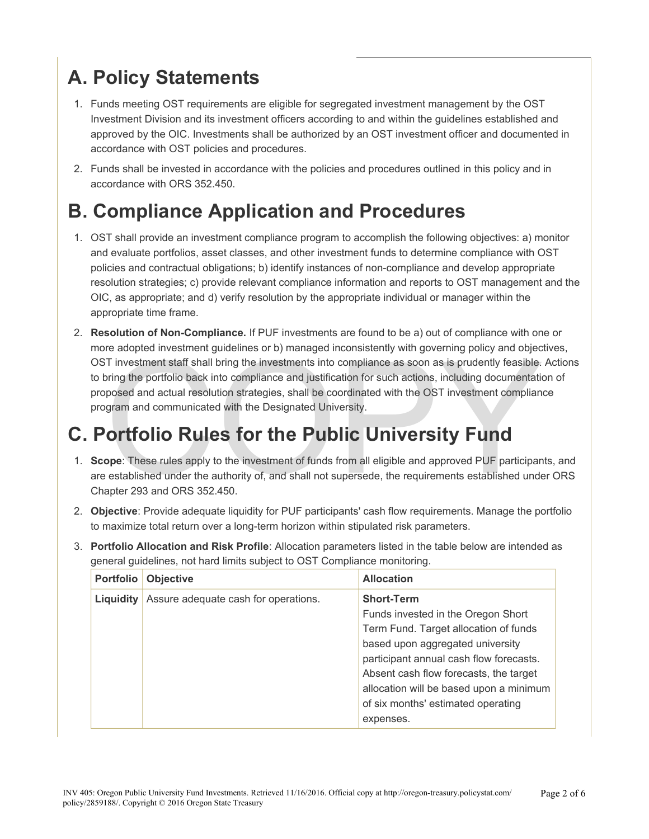## **A. Policy Statements**

- 1. Funds meeting OST requirements are eligible for segregated investment management by the OST Investment Division and its investment officers according to and within the guidelines established and approved by the OIC. Investments shall be authorized by an OST investment officer and documented in accordance with OST policies and procedures.
- 2. Funds shall be invested in accordance with the policies and procedures outlined in this policy and in accordance with ORS 352.450.

## **B. Compliance Application and Procedures**

- 1. OST shall provide an investment compliance program to accomplish the following objectives: a) monitor and evaluate portfolios, asset classes, and other investment funds to determine compliance with OST policies and contractual obligations; b) identify instances of non-compliance and develop appropriate resolution strategies; c) provide relevant compliance information and reports to OST management and the OIC, as appropriate; and d) verify resolution by the appropriate individual or manager within the appropriate time frame.
- T investment staff shall bring the investments into compliance as soon as is prudently feasible.<br>T investment staff shall bring the investments into compliance as soon as is prudently feasible.<br>Dring the portfolio back int 2. **Resolution of Non-Compliance.** If PUF investments are found to be a) out of compliance with one or more adopted investment guidelines or b) managed inconsistently with governing policy and objectives, OST investment staff shall bring the investments into compliance as soon as is prudently feasible. Actions to bring the portfolio back into compliance and justification for such actions, including documentation of proposed and actual resolution strategies, shall be coordinated with the OST investment compliance program and communicated with the Designated University.

## **C. Portfolio Rules for the Public University Fund**

- 1. **Scope**: These rules apply to the investment of funds from all eligible and approved PUF participants, and are established under the authority of, and shall not supersede, the requirements established under ORS Chapter 293 and ORS 352.450.
- 2. **Objective**: Provide adequate liquidity for PUF participants' cash flow requirements. Manage the portfolio to maximize total return over a long-term horizon within stipulated risk parameters.
- 3. **Portfolio Allocation and Risk Profile**: Allocation parameters listed in the table below are intended as general guidelines, not hard limits subject to OST Compliance monitoring.

| <b>Portfolio</b> | <b>Objective</b>                     | <b>Allocation</b>                                                                                                                                                                                                                                                                                          |
|------------------|--------------------------------------|------------------------------------------------------------------------------------------------------------------------------------------------------------------------------------------------------------------------------------------------------------------------------------------------------------|
| Liquidity        | Assure adequate cash for operations. | <b>Short-Term</b><br>Funds invested in the Oregon Short<br>Term Fund. Target allocation of funds<br>based upon aggregated university<br>participant annual cash flow forecasts.<br>Absent cash flow forecasts, the target<br>allocation will be based upon a minimum<br>of six months' estimated operating |
|                  |                                      | expenses.                                                                                                                                                                                                                                                                                                  |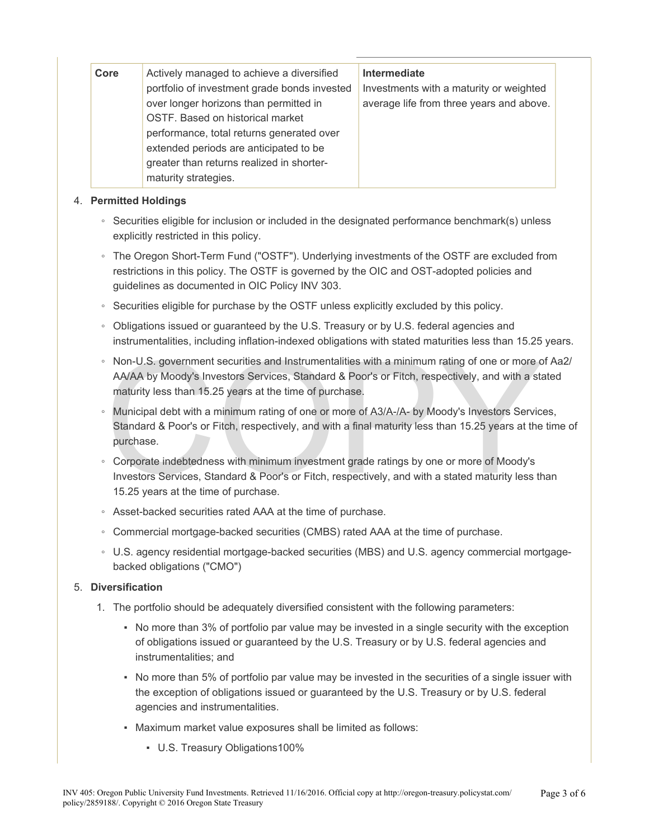| Core | Actively managed to achieve a diversified<br>portfolio of investment grade bonds invested<br>over longer horizons than permitted in<br>OSTF. Based on historical market<br>performance, total returns generated over<br>extended periods are anticipated to be<br>greater than returns realized in shorter-<br>maturity strategies. | Intermediate<br>Investments with a maturity or weighted<br>average life from three years and above. |
|------|-------------------------------------------------------------------------------------------------------------------------------------------------------------------------------------------------------------------------------------------------------------------------------------------------------------------------------------|-----------------------------------------------------------------------------------------------------|
|------|-------------------------------------------------------------------------------------------------------------------------------------------------------------------------------------------------------------------------------------------------------------------------------------------------------------------------------------|-----------------------------------------------------------------------------------------------------|

#### 4. **Permitted Holdings**

- Securities eligible for inclusion or included in the designated performance benchmark(s) unless explicitly restricted in this policy.
- The Oregon Short-Term Fund ("OSTF"). Underlying investments of the OSTF are excluded from restrictions in this policy. The OSTF is governed by the OIC and OST-adopted policies and guidelines as documented in OIC Policy INV 303.
- Securities eligible for purchase by the OSTF unless explicitly excluded by this policy.
- Obligations issued or guaranteed by the U.S. Treasury or by U.S. federal agencies and instrumentalities, including inflation-indexed obligations with stated maturities less than 15.25 years.
- Non-U.S. government securities and Instrumentalities with a minimum rating of one or more o<br>AA/AA by Moody's Investors Services, Standard & Poor's or Fitch, respectively, and with a state maturity less than 15.25 years at ◦ Non-U.S. government securities and Instrumentalities with a minimum rating of one or more of Aa2/ AA/AA by Moody's Investors Services, Standard & Poor's or Fitch, respectively, and with a stated maturity less than 15.25 years at the time of purchase.
- Municipal debt with a minimum rating of one or more of A3/A-/A- by Moody's Investors Services, Standard & Poor's or Fitch, respectively, and with a final maturity less than 15.25 years at the time of purchase.
- Corporate indebtedness with minimum investment grade ratings by one or more of Moody's Investors Services, Standard & Poor's or Fitch, respectively, and with a stated maturity less than 15.25 years at the time of purchase.
- Asset-backed securities rated AAA at the time of purchase.
- Commercial mortgage-backed securities (CMBS) rated AAA at the time of purchase.
- U.S. agency residential mortgage-backed securities (MBS) and U.S. agency commercial mortgagebacked obligations ("CMO")

#### 5. **Diversification**

- 1. The portfolio should be adequately diversified consistent with the following parameters:
	- No more than 3% of portfolio par value may be invested in a single security with the exception of obligations issued or guaranteed by the U.S. Treasury or by U.S. federal agencies and instrumentalities; and
	- No more than 5% of portfolio par value may be invested in the securities of a single issuer with the exception of obligations issued or guaranteed by the U.S. Treasury or by U.S. federal agencies and instrumentalities.
	- Maximum market value exposures shall be limited as follows:
		- U.S. Treasury Obligations100%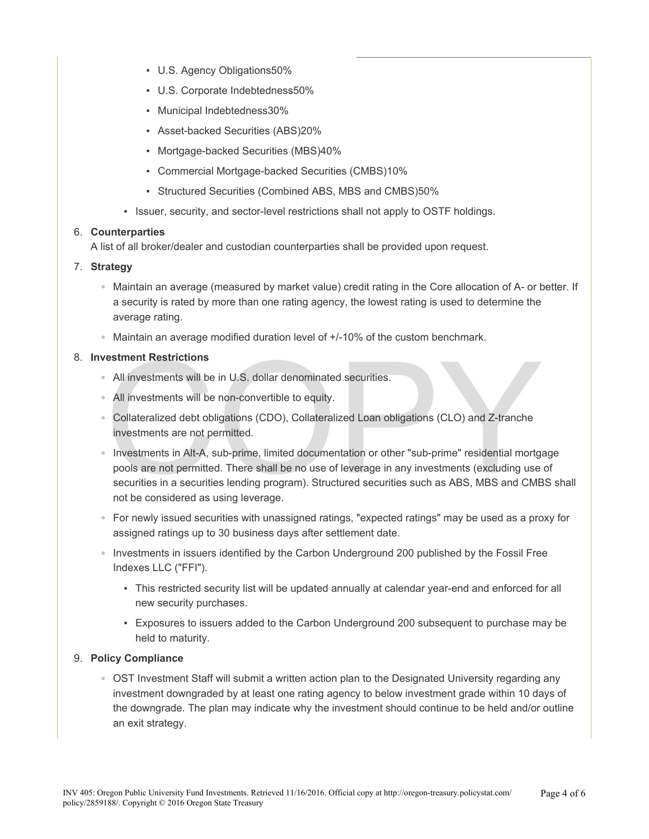- U.S. Agency Obligations50%
- U.S. Corporate Indebtedness50%
- Municipal Indebtedness30%
- Asset-backed Securities (ABS)20%
- Mortgage-backed Securities (MBS)40%
- Commercial Mortgage-backed Securities (CMBS)10%
- Structured Securities (Combined ABS, MBS and CMBS)50%
- Issuer, security, and sector-level restrictions shall not apply to OSTF holdings.

#### 6. **Counterparties**

A list of all broker/dealer and custodian counterparties shall be provided upon request.

#### 7. **Strategy**

- Maintain an average (measured by market value) credit rating in the Core allocation of A- or better. If a security is rated by more than one rating agency, the lowest rating is used to determine the average rating.
- Maintain an average modified duration level of +/-10% of the custom benchmark.

#### 8. **Investment Restrictions**

- All investments will be in U.S. dollar denominated securities.
- All investments will be non-convertible to equity.
- Collateralized debt obligations (CDO), Collateralized Loan obligations (CLO) and Z-tranche investments are not permitted.
- **Example 15 All investments will be in U.S. dollar denominated securities.**<br>All investments will be non-convertible to equity.<br>Collateralized debt obligations (CDO), Collateralized Loan obligations (CLO) and Z-tranche<br>inve ◦ Investments in Alt-A, sub-prime, limited documentation or other "sub-prime" residential mortgage pools are not permitted. There shall be no use of leverage in any investments (excluding use of securities in a securities lending program). Structured securities such as ABS, MBS and CMBS shall not be considered as using leverage.
- For newly issued securities with unassigned ratings, "expected ratings" may be used as a proxy for assigned ratings up to 30 business days after settlement date.
- Investments in issuers identified by the Carbon Underground 200 published by the Fossil Free Indexes LLC ("FFI").
	- This restricted security list will be updated annually at calendar year-end and enforced for all new security purchases.
	- Exposures to issuers added to the Carbon Underground 200 subsequent to purchase may be held to maturity.

#### 9. **Policy Compliance**

◦ OST Investment Staff will submit a written action plan to the Designated University regarding any investment downgraded by at least one rating agency to below investment grade within 10 days of the downgrade. The plan may indicate why the investment should continue to be held and/or outline an exit strategy.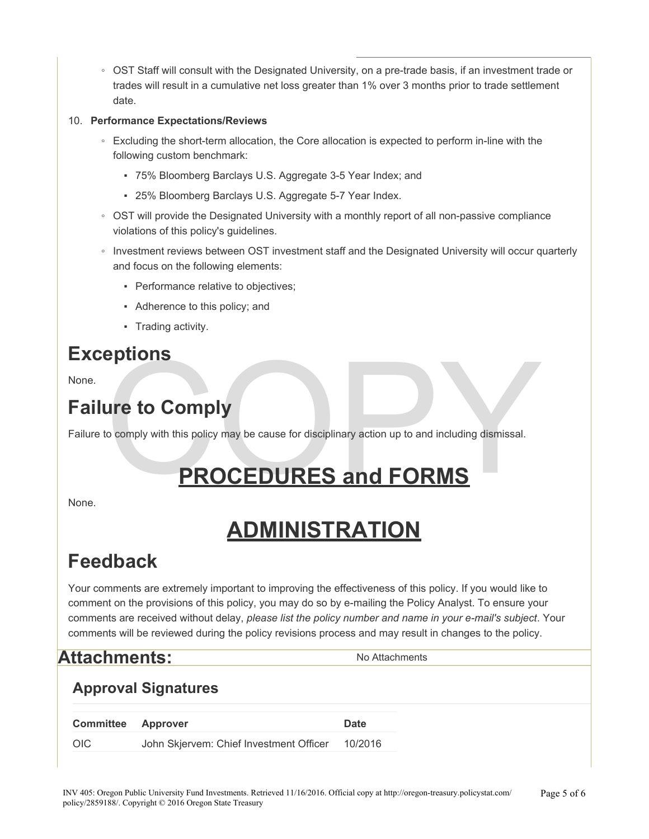◦ OST Staff will consult with the Designated University, on a pre-trade basis, if an investment trade or trades will result in a cumulative net loss greater than 1% over 3 months prior to trade settlement date.

#### 10. **Performance Expectations/Reviews**

- Excluding the short-term allocation, the Core allocation is expected to perform in-line with the following custom benchmark:
	- 75% Bloomberg Barclays U.S. Aggregate 3-5 Year Index; and
	- 25% Bloomberg Barclays U.S. Aggregate 5-7 Year Index.
- OST will provide the Designated University with a monthly report of all non-passive compliance violations of this policy's guidelines.
- Investment reviews between OST investment staff and the Designated University will occur quarterly and focus on the following elements:
	- Performance relative to objectives;
	- Adherence to this policy; and
	- Trading activity.

## **Exceptions**

None.

## **Failure to Comply**

Failure to comply with this policy may be cause for disciplinary action up to and including dismissal.

# eptions<br>to comply with this policy may be cause for disciplinary action up to and including dismissal.<br>PROCEDURES and FORMS **PROCEDURES and FORMS**

None.

## **ADMINISTRATION**

## **Feedback**

Your comments are extremely important to improving the effectiveness of this policy. If you would like to comment on the provisions of this policy, you may do so by e-mailing the Policy Analyst. To ensure your comments are received without delay, *please list the policy number and name in your e-mail's subject*. Your comments will be reviewed during the policy revisions process and may result in changes to the policy.

## **Attachments:** No Attachments

### **Approval Signatures**

| <b>Committee Approver</b> |                                         | Date    |
|---------------------------|-----------------------------------------|---------|
| OIC                       | John Skjervem: Chief Investment Officer | 10/2016 |